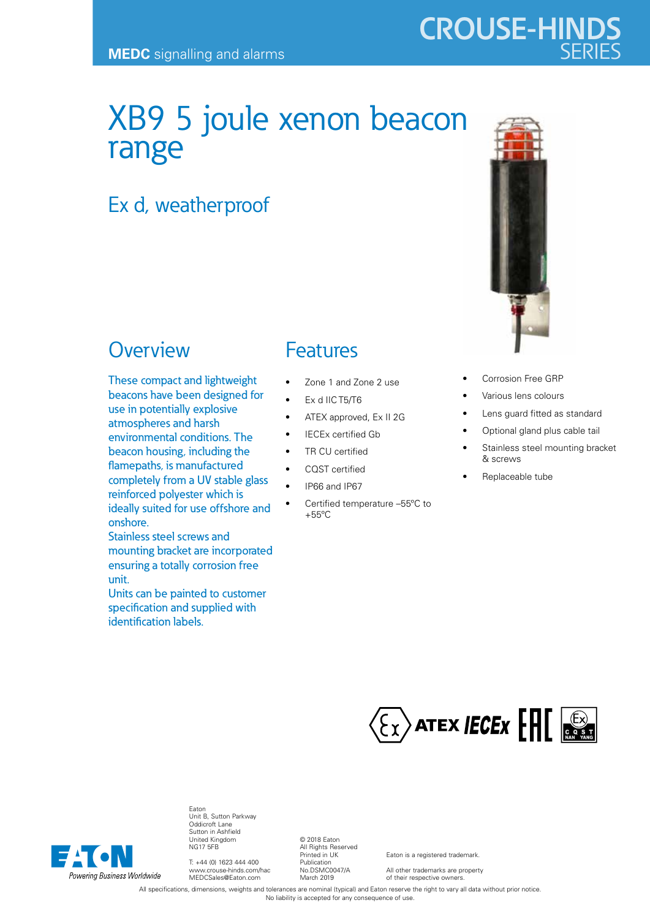## XB9 5 joule xenon beacon range

## Ex d, weatherproof

## **Overview**

These compact and lightweight beacons have been designed for use in potentially explosive atmospheres and harsh environmental conditions. The beacon housing, including the flamepaths, is manufactured completely from a UV stable glass reinforced polyester which is ideally suited for use offshore and onshore.

Stainless steel screws and mounting bracket are incorporated ensuring a totally corrosion free unit.

Units can be painted to customer specification and supplied with identification labels.

## Features

- Zone 1 and Zone 2 use
- Ex d IIC T5/T6
- ATEX approved, Ex II 2G
- IECEx certified Gb
- TR CU certified
- CQST certified
- IP66 and IP67
- Certified temperature –55ºC to  $+55^{\circ}$ C



- Corrosion Free GRP
- Various lens colours
- Lens guard fitted as standard
- Optional gland plus cable tail
- Stainless steel mounting bracket & screws
- Replaceable tube





Eaton Unit B, Sutton Parkway Oddicroft Lane Sutton in Ashfield United Kingdom NG17 5FB

T: +44 (0) 1623 444 400 www.crouse-hinds.com/hac MEDCSales@Eaton.com

© 2018 Eaton All Rights Reserved Printed in UK Publication No.DSMC0047/A March 2019

Eaton is a registered trademark.

All other trademarks are property of their respective owners.

All specifications, dimensions, weights and tolerances are nominal (typical) and Eaton reserve the right to vary all data without prior notice. No liability is accepted for any consequence of use.

# **CROUSE-HINDS**